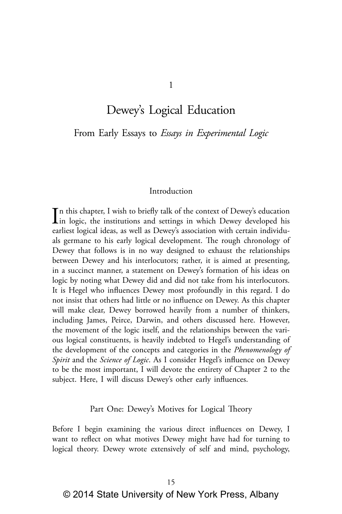# Dewey's Logical Education

From Early Essays to *Essays in Experimental Logic*

#### Introduction

In this chapter, I wish to briefly talk of the context of Dewey's education<br>in logic, the institutions and settings in which Dewey developed his<br>intervals in the late of the late of the late of the late of the late of the n this chapter, I wish to briefly talk of the context of Dewey's education earliest logical ideas, as well as Dewey's association with certain individuals germane to his early logical development. The rough chronology of Dewey that follows is in no way designed to exhaust the relationships between Dewey and his interlocutors; rather, it is aimed at presenting, in a succinct manner, a statement on Dewey's formation of his ideas on logic by noting what Dewey did and did not take from his interlocutors. It is Hegel who influences Dewey most profoundly in this regard. I do not insist that others had little or no influence on Dewey. As this chapter will make clear, Dewey borrowed heavily from a number of thinkers, including James, Peirce, Darwin, and others discussed here. However, the movement of the logic itself, and the relationships between the various logical constituents, is heavily indebted to Hegel's understanding of the development of the concepts and categories in the *Phenomenology of Spirit* and the *Science of Logic*. As I consider Hegel's influence on Dewey to be the most important, I will devote the entirety of Chapter 2 to the subject. Here, I will discuss Dewey's other early influences.

#### Part One: Dewey's Motives for Logical Theory

Before I begin examining the various direct influences on Dewey, I want to reflect on what motives Dewey might have had for turning to logical theory. Dewey wrote extensively of self and mind, psychology,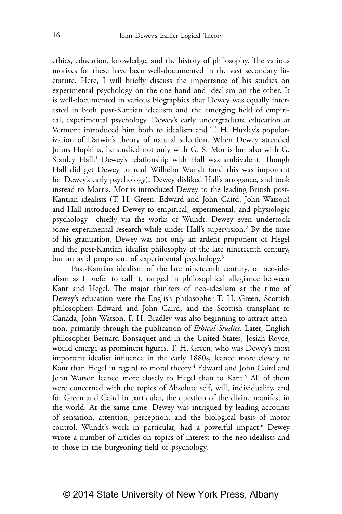ethics, education, knowledge, and the history of philosophy. The various motives for these have been well-documented in the vast secondary literature. Here, I will briefly discuss the importance of his studies on experimental psychology on the one hand and idealism on the other. It is well-documented in various biographies that Dewey was equally interested in both post-Kantian idealism and the emerging field of empirical, experimental psychology. Dewey's early undergraduate education at Vermont introduced him both to idealism and T. H. Huxley's popularization of Darwin's theory of natural selection. When Dewey attended Johns Hopkins, he studied not only with G. S. Morris but also with G. Stanley Hall.<sup>1</sup> Dewey's relationship with Hall was ambivalent. Though Hall did get Dewey to read Wilhelm Wundt (and this was important for Dewey's early psychology), Dewey disliked Hall's arrogance, and took instead to Morris. Morris introduced Dewey to the leading British post-Kantian idealists (T. H. Green, Edward and John Caird, John Watson) and Hall introduced Dewey to empirical, experimental, and physiologic psychology—chiefly via the works of Wundt. Dewey even undertook some experimental research while under Hall's supervision.<sup>2</sup> By the time of his graduation, Dewey was not only an ardent proponent of Hegel and the post-Kantian idealist philosophy of the late nineteenth century, but an avid proponent of experimental psychology.<sup>3</sup>

Post-Kantian idealism of the late nineteenth century, or neo-idealism as I prefer to call it, ranged in philosophical allegiance between Kant and Hegel. The major thinkers of neo-idealism at the time of Dewey's education were the English philosopher T. H. Green, Scottish philosophers Edward and John Caird, and the Scottish transplant to Canada, John Watson. F. H. Bradley was also beginning to attract attention, primarily through the publication of *Ethical Studies*. Later, English philosopher Bernard Bonsaquet and in the United States, Josiah Royce, would emerge as prominent figures. T. H. Green, who was Dewey's most important idealist influence in the early 1880s, leaned more closely to Kant than Hegel in regard to moral theory.<sup>4</sup> Edward and John Caird and John Watson leaned more closely to Hegel than to Kant.<sup>5</sup> All of them were concerned with the topics of Absolute self, will, individuality, and for Green and Caird in particular, the question of the divine manifest in the world. At the same time, Dewey was intrigued by leading accounts of sensation, attention, perception, and the biological basis of motor control. Wundt's work in particular, had a powerful impact.<sup>6</sup> Dewey wrote a number of articles on topics of interest to the neo-idealists and to those in the burgeoning field of psychology.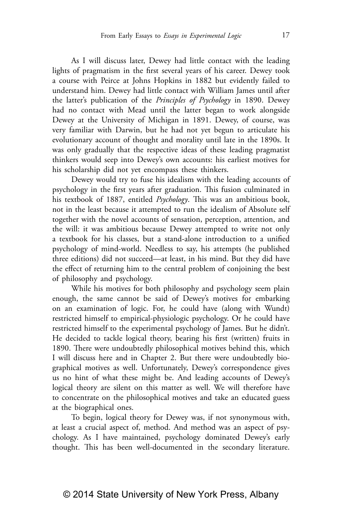As I will discuss later, Dewey had little contact with the leading lights of pragmatism in the first several years of his career. Dewey took a course with Peirce at Johns Hopkins in 1882 but evidently failed to understand him. Dewey had little contact with William James until after the latter's publication of the *Principles of Psychology* in 1890. Dewey had no contact with Mead until the latter began to work alongside Dewey at the University of Michigan in 1891. Dewey, of course, was very familiar with Darwin, but he had not yet begun to articulate his evolutionary account of thought and morality until late in the 1890s. It was only gradually that the respective ideas of these leading pragmatist thinkers would seep into Dewey's own accounts: his earliest motives for his scholarship did not yet encompass these thinkers.

Dewey would try to fuse his idealism with the leading accounts of psychology in the first years after graduation. This fusion culminated in his textbook of 1887, entitled *Psychology*. This was an ambitious book, not in the least because it attempted to run the idealism of Absolute self together with the novel accounts of sensation, perception, attention, and the will: it was ambitious because Dewey attempted to write not only a textbook for his classes, but a stand-alone introduction to a unified psychology of mind-world. Needless to say, his attempts (he published three editions) did not succeed—at least, in his mind. But they did have the effect of returning him to the central problem of conjoining the best of philosophy and psychology.

While his motives for both philosophy and psychology seem plain enough, the same cannot be said of Dewey's motives for embarking on an examination of logic. For, he could have (along with Wundt) restricted himself to empirical-physiologic psychology. Or he could have restricted himself to the experimental psychology of James. But he didn't. He decided to tackle logical theory, bearing his first (written) fruits in 1890. There were undoubtedly philosophical motives behind this, which I will discuss here and in Chapter 2. But there were undoubtedly biographical motives as well. Unfortunately, Dewey's correspondence gives us no hint of what these might be. And leading accounts of Dewey's logical theory are silent on this matter as well. We will therefore have to concentrate on the philosophical motives and take an educated guess at the biographical ones.

To begin, logical theory for Dewey was, if not synonymous with, at least a crucial aspect of, method. And method was an aspect of psychology. As I have maintained, psychology dominated Dewey's early thought. This has been well-documented in the secondary literature.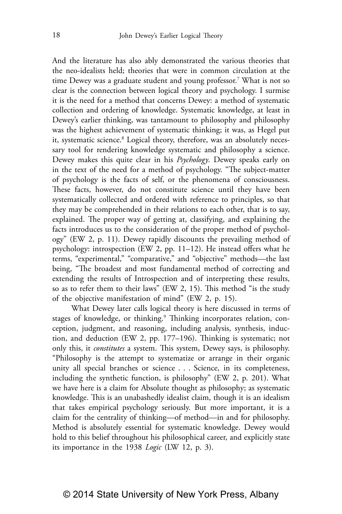And the literature has also ably demonstrated the various theories that the neo-idealists held; theories that were in common circulation at the time Dewey was a graduate student and young professor.7 What is not so clear is the connection between logical theory and psychology. I surmise it is the need for a method that concerns Dewey: a method of systematic collection and ordering of knowledge. Systematic knowledge, at least in Dewey's earlier thinking, was tantamount to philosophy and philosophy was the highest achievement of systematic thinking; it was, as Hegel put it, systematic science.<sup>8</sup> Logical theory, therefore, was an absolutely necessary tool for rendering knowledge systematic and philosophy a science. Dewey makes this quite clear in his *Psychology*. Dewey speaks early on in the text of the need for a method of psychology. "The subject-matter of psychology is the facts of self, or the phenomena of consciousness. These facts, however, do not constitute science until they have been systematically collected and ordered with reference to principles, so that they may be comprehended in their relations to each other, that is to say, explained. The proper way of getting at, classifying, and explaining the facts introduces us to the consideration of the proper method of psychology" (EW 2, p. 11). Dewey rapidly discounts the prevailing method of psychology: introspection (EW 2, pp. 11–12). He instead offers what he terms, "experimental," "comparative," and "objective" methods—the last being, "The broadest and most fundamental method of correcting and extending the results of Introspection and of interpreting these results, so as to refer them to their laws" (EW 2, 15). This method "is the study of the objective manifestation of mind" (EW 2, p. 15).

What Dewey later calls logical theory is here discussed in terms of stages of knowledge, or thinking.<sup>9</sup> Thinking incorporates relation, conception, judgment, and reasoning, including analysis, synthesis, induction, and deduction (EW 2, pp. 177–196). Thinking is systematic; not only this, it *constitutes* a system. This system, Dewey says, is philosophy. "Philosophy is the attempt to systematize or arrange in their organic unity all special branches or science . . . Science, in its completeness, including the synthetic function, is philosophy" (EW 2, p. 201). What we have here is a claim for Absolute thought as philosophy; as systematic knowledge. This is an unabashedly idealist claim, though it is an idealism that takes empirical psychology seriously. But more important, it is a claim for the centrality of thinking—of method—in and for philosophy. Method is absolutely essential for systematic knowledge. Dewey would hold to this belief throughout his philosophical career, and explicitly state its importance in the 1938 *Logic* (LW 12, p. 3).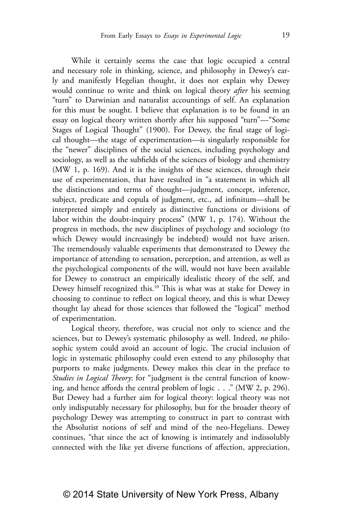While it certainly seems the case that logic occupied a central and necessary role in thinking, science, and philosophy in Dewey's early and manifestly Hegelian thought, it does not explain why Dewey would continue to write and think on logical theory *after* his seeming "turn" to Darwinian and naturalist accountings of self. An explanation for this must be sought. I believe that explanation is to be found in an essay on logical theory written shortly after his supposed "turn"—"Some Stages of Logical Thought" (1900). For Dewey, the final stage of logical thought—the stage of experimentation—is singularly responsible for the "newer" disciplines of the social sciences, including psychology and sociology, as well as the subfields of the sciences of biology and chemistry (MW 1, p. 169). And it is the insights of these sciences, through their use of experimentation, that have resulted in "a statement in which all the distinctions and terms of thought—judgment, concept, inference, subject, predicate and copula of judgment, etc., ad infinitum—shall be interpreted simply and entirely as distinctive functions or divisions of labor within the doubt-inquiry process" (MW 1, p. 174). Without the progress in methods, the new disciplines of psychology and sociology (to which Dewey would increasingly be indebted) would not have arisen. The tremendously valuable experiments that demonstrated to Dewey the importance of attending to sensation, perception, and attention, as well as the psychological components of the will, would not have been available for Dewey to construct an empirically idealistic theory of the self, and Dewey himself recognized this.10 This is what was at stake for Dewey in choosing to continue to reflect on logical theory, and this is what Dewey thought lay ahead for those sciences that followed the "logical" method of experimentation.

Logical theory, therefore, was crucial not only to science and the sciences, but to Dewey's systematic philosophy as well. Indeed, *no* philosophic system could avoid an account of logic. The crucial inclusion of logic in systematic philosophy could even extend to any philosophy that purports to make judgments. Dewey makes this clear in the preface to *Studies in Logical Theory*: for "judgment is the central function of knowing, and hence affords the central problem of logic . . ." (MW 2, p. 296). But Dewey had a further aim for logical theory: logical theory was not only indisputably necessary for philosophy, but for the broader theory of psychology Dewey was attempting to construct in part to contrast with the Absolutist notions of self and mind of the neo-Hegelians. Dewey continues, "that since the act of knowing is intimately and indissolubly connected with the like yet diverse functions of affection, appreciation,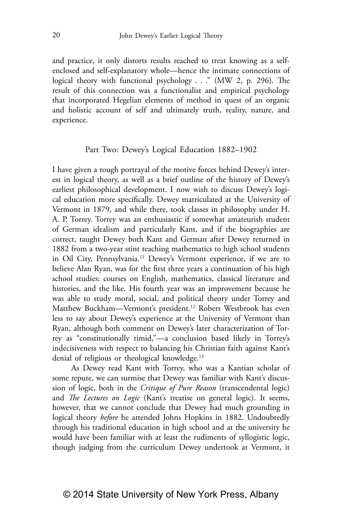and practice, it only distorts results reached to treat knowing as a selfenclosed and self-explanatory whole—hence the intimate connections of logical theory with functional psychology . . ." (MW 2, p. 296). The result of this connection was a functionalist and empirical psychology that incorporated Hegelian elements of method in quest of an organic and holistic account of self and ultimately truth, reality, nature, and experience.

#### Part Two: Dewey's Logical Education 1882–1902

I have given a rough portrayal of the motive forces behind Dewey's interest in logical theory, as well as a brief outline of the history of Dewey's earliest philosophical development. I now wish to discuss Dewey's logical education more specifically. Dewey matriculated at the University of Vermont in 1879, and while there, took classes in philosophy under H. A. P. Torrey. Torrey was an enthusiastic if somewhat amateurish student of German idealism and particularly Kant, and if the biographies are correct, taught Dewey both Kant and German after Dewey returned in 1882 from a two-year stint teaching mathematics to high school students in Oil City, Pennsylvania.11 Dewey's Vermont experience, if we are to believe Alan Ryan, was for the first three years a continuation of his high school studies: courses on English, mathematics, classical literature and histories, and the like. His fourth year was an improvement because he was able to study moral, social, and political theory under Torrey and Matthew Buckham—Vermont's president.<sup>12</sup> Robert Westbrook has even less to say about Dewey's experience at the University of Vermont than Ryan, although both comment on Dewey's later characterization of Torrey as "constitutionally timid,"—a conclusion based likely in Torrey's indecisiveness with respect to balancing his Christian faith against Kant's denial of religious or theological knowledge.13

As Dewey read Kant with Torrey, who was a Kantian scholar of some repute, we can surmise that Dewey was familiar with Kant's discussion of logic, both in the *Critique of Pure Reason* (transcendental logic) and *The Lectures on Logic* (Kant's treatise on general logic). It seems, however, that we cannot conclude that Dewey had much grounding in logical theory *before* he attended Johns Hopkins in 1882. Undoubtedly through his traditional education in high school and at the university he would have been familiar with at least the rudiments of syllogistic logic, though judging from the curriculum Dewey undertook at Vermont, it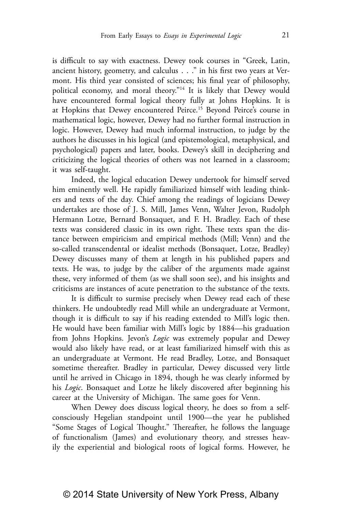is difficult to say with exactness. Dewey took courses in "Greek, Latin, ancient history, geometry, and calculus . . ." in his first two years at Vermont. His third year consisted of sciences; his final year of philosophy, political economy, and moral theory."<sup>14</sup> It is likely that Dewey would have encountered formal logical theory fully at Johns Hopkins. It is at Hopkins that Dewey encountered Peirce.15 Beyond Peirce's course in mathematical logic, however, Dewey had no further formal instruction in logic. However, Dewey had much informal instruction, to judge by the authors he discusses in his logical (and epistemological, metaphysical, and psychological) papers and later, books. Dewey's skill in deciphering and criticizing the logical theories of others was not learned in a classroom; it was self-taught.

Indeed, the logical education Dewey undertook for himself served him eminently well. He rapidly familiarized himself with leading thinkers and texts of the day. Chief among the readings of logicians Dewey undertakes are those of J. S. Mill, James Venn, Walter Jevon, Rudolph Hermann Lotze, Bernard Bonsaquet, and F. H. Bradley. Each of these texts was considered classic in its own right. These texts span the distance between empiricism and empirical methods (Mill; Venn) and the so-called transcendental or idealist methods (Bonsaquet, Lotze, Bradley) Dewey discusses many of them at length in his published papers and texts. He was, to judge by the caliber of the arguments made against these, very informed of them (as we shall soon see), and his insights and criticisms are instances of acute penetration to the substance of the texts.

It is difficult to surmise precisely when Dewey read each of these thinkers. He undoubtedly read Mill while an undergraduate at Vermont, though it is difficult to say if his reading extended to Mill's logic then. He would have been familiar with Mill's logic by 1884—his graduation from Johns Hopkins. Jevon's *Logic* was extremely popular and Dewey would also likely have read, or at least familiarized himself with this as an undergraduate at Vermont. He read Bradley, Lotze, and Bonsaquet sometime thereafter. Bradley in particular, Dewey discussed very little until he arrived in Chicago in 1894, though he was clearly informed by his *Logic*. Bonsaquet and Lotze he likely discovered after beginning his career at the University of Michigan. The same goes for Venn.

When Dewey does discuss logical theory, he does so from a selfconsciously Hegelian standpoint until 1900—the year he published "Some Stages of Logical Thought." Thereafter, he follows the language of functionalism (James) and evolutionary theory, and stresses heavily the experiential and biological roots of logical forms. However, he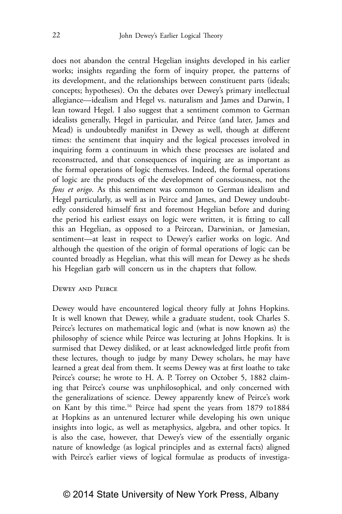does not abandon the central Hegelian insights developed in his earlier works; insights regarding the form of inquiry proper, the patterns of its development, and the relationships between constituent parts (ideals; concepts; hypotheses). On the debates over Dewey's primary intellectual allegiance—idealism and Hegel vs. naturalism and James and Darwin, I lean toward Hegel. I also suggest that a sentiment common to German idealists generally, Hegel in particular, and Peirce (and later, James and Mead) is undoubtedly manifest in Dewey as well, though at different times: the sentiment that inquiry and the logical processes involved in inquiring form a continuum in which these processes are isolated and reconstructed, and that consequences of inquiring are as important as the formal operations of logic themselves. Indeed, the formal operations of logic are the products of the development of consciousness, not the *fons et origo*. As this sentiment was common to German idealism and Hegel particularly, as well as in Peirce and James, and Dewey undoubtedly considered himself first and foremost Hegelian before and during the period his earliest essays on logic were written, it is fitting to call this an Hegelian, as opposed to a Peircean, Darwinian, or Jamesian, sentiment—at least in respect to Dewey's earlier works on logic. And although the question of the origin of formal operations of logic can be counted broadly as Hegelian, what this will mean for Dewey as he sheds his Hegelian garb will concern us in the chapters that follow.

#### Dewey and Peirce

Dewey would have encountered logical theory fully at Johns Hopkins. It is well known that Dewey, while a graduate student, took Charles S. Peirce's lectures on mathematical logic and (what is now known as) the philosophy of science while Peirce was lecturing at Johns Hopkins. It is surmised that Dewey disliked, or at least acknowledged little profit from these lectures, though to judge by many Dewey scholars, he may have learned a great deal from them. It seems Dewey was at first loathe to take Peirce's course; he wrote to H. A. P. Torrey on October 5, 1882 claiming that Peirce's course was unphilosophical, and only concerned with the generalizations of science. Dewey apparently knew of Peirce's work on Kant by this time.16 Peirce had spent the years from 1879 to1884 at Hopkins as an untenured lecturer while developing his own unique insights into logic, as well as metaphysics, algebra, and other topics. It is also the case, however, that Dewey's view of the essentially organic nature of knowledge (as logical principles and as external facts) aligned with Peirce's earlier views of logical formulae as products of investiga-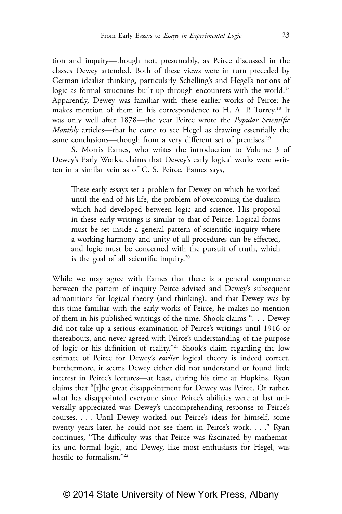tion and inquiry—though not, presumably, as Peirce discussed in the classes Dewey attended. Both of these views were in turn preceded by German idealist thinking, particularly Schelling's and Hegel's notions of logic as formal structures built up through encounters with the world.<sup>17</sup> Apparently, Dewey was familiar with these earlier works of Peirce; he makes mention of them in his correspondence to H. A. P. Torrey.<sup>18</sup> It was only well after 1878—the year Peirce wrote the *Popular Scientific Monthly* articles—that he came to see Hegel as drawing essentially the same conclusions—though from a very different set of premises.<sup>19</sup>

S. Morris Eames, who writes the introduction to Volume 3 of Dewey's Early Works, claims that Dewey's early logical works were written in a similar vein as of C. S. Peirce. Eames says,

These early essays set a problem for Dewey on which he worked until the end of his life, the problem of overcoming the dualism which had developed between logic and science. His proposal in these early writings is similar to that of Peirce: Logical forms must be set inside a general pattern of scientific inquiry where a working harmony and unity of all procedures can be effected, and logic must be concerned with the pursuit of truth, which is the goal of all scientific inquiry.20

While we may agree with Eames that there is a general congruence between the pattern of inquiry Peirce advised and Dewey's subsequent admonitions for logical theory (and thinking), and that Dewey was by this time familiar with the early works of Peirce, he makes no mention of them in his published writings of the time. Shook claims ". . . Dewey did not take up a serious examination of Peirce's writings until 1916 or thereabouts, and never agreed with Peirce's understanding of the purpose of logic or his definition of reality."21 Shook's claim regarding the low estimate of Peirce for Dewey's *earlier* logical theory is indeed correct. Furthermore, it seems Dewey either did not understand or found little interest in Peirce's lectures—at least, during his time at Hopkins. Ryan claims that "[t]he great disappointment for Dewey was Peirce. Or rather, what has disappointed everyone since Peirce's abilities were at last universally appreciated was Dewey's uncomprehending response to Peirce's courses. . . . Until Dewey worked out Peirce's ideas for himself, some twenty years later, he could not see them in Peirce's work. . . ." Ryan continues, "The difficulty was that Peirce was fascinated by mathematics and formal logic, and Dewey, like most enthusiasts for Hegel, was hostile to formalism."22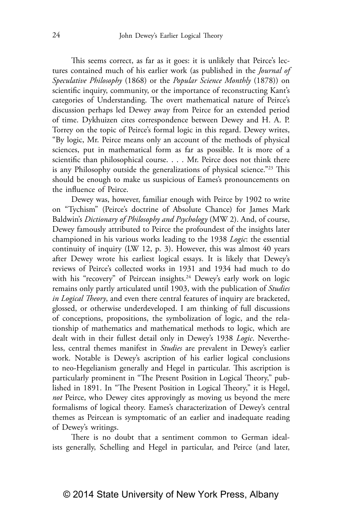This seems correct, as far as it goes: it is unlikely that Peirce's lectures contained much of his earlier work (as published in the *Journal of Speculative Philosophy* (1868) or the *Popular Science Monthly* (1878)) on scientific inquiry, community, or the importance of reconstructing Kant's categories of Understanding. The overt mathematical nature of Peirce's discussion perhaps led Dewey away from Peirce for an extended period of time. Dykhuizen cites correspondence between Dewey and H. A. P. Torrey on the topic of Peirce's formal logic in this regard. Dewey writes, "By logic, Mr. Peirce means only an account of the methods of physical sciences, put in mathematical form as far as possible. It is more of a scientific than philosophical course. . . . Mr. Peirce does not think there is any Philosophy outside the generalizations of physical science."23 This should be enough to make us suspicious of Eames's pronouncements on the influence of Peirce.

Dewey was, however, familiar enough with Peirce by 1902 to write on "Tychism" (Peirce's doctrine of Absolute Chance) for James Mark Baldwin's *Dictionary of Philosophy and Psychology* (MW 2). And, of course, Dewey famously attributed to Peirce the profoundest of the insights later championed in his various works leading to the 1938 *Logic*: the essential continuity of inquiry (LW 12, p. 3). However, this was almost 40 years after Dewey wrote his earliest logical essays. It is likely that Dewey's reviews of Peirce's collected works in 1931 and 1934 had much to do with his "recovery" of Peircean insights.<sup>24</sup> Dewey's early work on logic remains only partly articulated until 1903, with the publication of *Studies in Logical Theory*, and even there central features of inquiry are bracketed, glossed, or otherwise underdeveloped. I am thinking of full discussions of conceptions, propositions, the symbolization of logic, and the relationship of mathematics and mathematical methods to logic, which are dealt with in their fullest detail only in Dewey's 1938 *Logic*. Nevertheless, central themes manifest in *Studies* are prevalent in Dewey's earlier work. Notable is Dewey's ascription of his earlier logical conclusions to neo-Hegelianism generally and Hegel in particular. This ascription is particularly prominent in "The Present Position in Logical Theory," published in 1891. In "The Present Position in Logical Theory," it is Hegel, *not* Peirce, who Dewey cites approvingly as moving us beyond the mere formalisms of logical theory. Eames's characterization of Dewey's central themes as Peircean is symptomatic of an earlier and inadequate reading of Dewey's writings.

There is no doubt that a sentiment common to German idealists generally, Schelling and Hegel in particular, and Peirce (and later,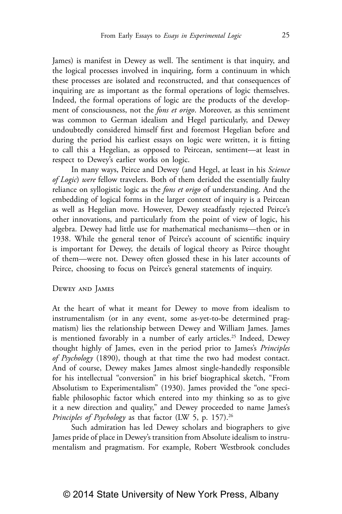James) is manifest in Dewey as well. The sentiment is that inquiry, and the logical processes involved in inquiring, form a continuum in which these processes are isolated and reconstructed, and that consequences of inquiring are as important as the formal operations of logic themselves. Indeed, the formal operations of logic are the products of the development of consciousness, not the *fons et origo*. Moreover, as this sentiment was common to German idealism and Hegel particularly, and Dewey undoubtedly considered himself first and foremost Hegelian before and during the period his earliest essays on logic were written, it is fitting to call this a Hegelian, as opposed to Peircean, sentiment—at least in respect to Dewey's earlier works on logic.

In many ways, Peirce and Dewey (and Hegel, at least in his *Science of Logic*) *were* fellow travelers. Both of them derided the essentially faulty reliance on syllogistic logic as the *fons et origo* of understanding. And the embedding of logical forms in the larger context of inquiry is a Peircean as well as Hegelian move. However, Dewey steadfastly rejected Peirce's other innovations, and particularly from the point of view of logic, his algebra. Dewey had little use for mathematical mechanisms—then or in 1938. While the general tenor of Peirce's account of scientific inquiry is important for Dewey, the details of logical theory as Peirce thought of them—were not. Dewey often glossed these in his later accounts of Peirce, choosing to focus on Peirce's general statements of inquiry.

#### Dewey and James

At the heart of what it meant for Dewey to move from idealism to instrumentalism (or in any event, some as-yet-to-be determined pragmatism) lies the relationship between Dewey and William James. James is mentioned favorably in a number of early articles.<sup>25</sup> Indeed, Dewey thought highly of James, even in the period prior to James's *Principles of Psychology* (1890), though at that time the two had modest contact. And of course, Dewey makes James almost single-handedly responsible for his intellectual "conversion" in his brief biographical sketch, "From Absolutism to Experimentalism" (1930). James provided the "one specifiable philosophic factor which entered into my thinking so as to give it a new direction and quality," and Dewey proceeded to name James's *Principles of Psychology* as that factor (LW 5, p. 157).<sup>26</sup>

Such admiration has led Dewey scholars and biographers to give James pride of place in Dewey's transition from Absolute idealism to instrumentalism and pragmatism. For example, Robert Westbrook concludes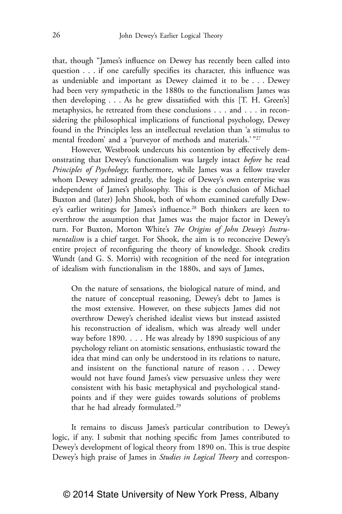that, though "James's influence on Dewey has recently been called into question . . . if one carefully specifies its character, this influence was as undeniable and important as Dewey claimed it to be . . . Dewey had been very sympathetic in the 1880s to the functionalism James was then developing . . . As he grew dissatisfied with this [T. H. Green's] metaphysics, he retreated from these conclusions . . . and . . . in reconsidering the philosophical implications of functional psychology, Dewey found in the Principles less an intellectual revelation than 'a stimulus to mental freedom' and a 'purveyor of methods and materials.' "27

However, Westbrook undercuts his contention by effectively demonstrating that Dewey's functionalism was largely intact *before* he read *Principles of Psychology*; furthermore, while James was a fellow traveler whom Dewey admired greatly, the logic of Dewey's own enterprise was independent of James's philosophy. This is the conclusion of Michael Buxton and (later) John Shook, both of whom examined carefully Dewey's earlier writings for James's influence.<sup>28</sup> Both thinkers are keen to overthrow the assumption that James was the major factor in Dewey's turn. For Buxton, Morton White's *The Origins of John Dewey's Instrumentalism* is a chief target. For Shook, the aim is to reconceive Dewey's entire project of reconfiguring the theory of knowledge. Shook credits Wundt (and G. S. Morris) with recognition of the need for integration of idealism with functionalism in the 1880s, and says of James,

On the nature of sensations, the biological nature of mind, and the nature of conceptual reasoning, Dewey's debt to James is the most extensive. However, on these subjects James did not overthrow Dewey's cherished idealist views but instead assisted his reconstruction of idealism, which was already well under way before 1890. . . . He was already by 1890 suspicious of any psychology reliant on atomistic sensations, enthusiastic toward the idea that mind can only be understood in its relations to nature, and insistent on the functional nature of reason . . . Dewey would not have found James's view persuasive unless they were consistent with his basic metaphysical and psychological standpoints and if they were guides towards solutions of problems that he had already formulated.29

It remains to discuss James's particular contribution to Dewey's logic, if any. I submit that nothing specific from James contributed to Dewey's development of logical theory from 1890 on. This is true despite Dewey's high praise of James in *Studies in Logical Theory* and correspon-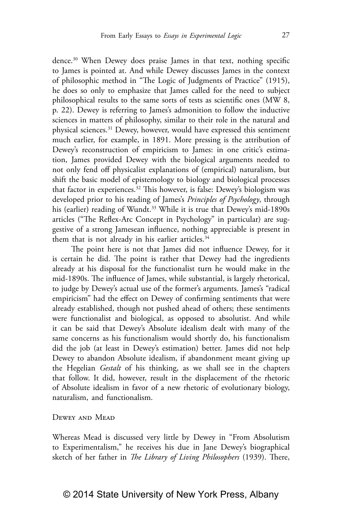dence.30 When Dewey does praise James in that text, nothing specific to James is pointed at. And while Dewey discusses James in the context of philosophic method in "The Logic of Judgments of Practice" (1915), he does so only to emphasize that James called for the need to subject philosophical results to the same sorts of tests as scientific ones (MW 8, p. 22). Dewey is referring to James's admonition to follow the inductive sciences in matters of philosophy, similar to their role in the natural and physical sciences.31 Dewey, however, would have expressed this sentiment much earlier, for example, in 1891. More pressing is the attribution of Dewey's reconstruction of empiricism to James: in one critic's estimation, James provided Dewey with the biological arguments needed to not only fend off physicalist explanations of (empirical) naturalism, but shift the basic model of epistemology to biology and biological processes that factor in experiences.32 This however, is false: Dewey's biologism was developed prior to his reading of James's *Principles of Psychology*, through his (earlier) reading of Wundt.<sup>33</sup> While it is true that Dewey's mid-1890s articles ("The Reflex-Arc Concept in Psychology" in particular) are suggestive of a strong Jamesean influence, nothing appreciable is present in them that is not already in his earlier articles.<sup>34</sup>

The point here is not that James did not influence Dewey, for it is certain he did. The point is rather that Dewey had the ingredients already at his disposal for the functionalist turn he would make in the mid-1890s. The influence of James, while substantial, is largely rhetorical, to judge by Dewey's actual use of the former's arguments. James's "radical empiricism" had the effect on Dewey of confirming sentiments that were already established, though not pushed ahead of others; these sentiments were functionalist and biological, as opposed to absolutist. And while it can be said that Dewey's Absolute idealism dealt with many of the same concerns as his functionalism would shortly do, his functionalism did the job (at least in Dewey's estimation) better. James did not help Dewey to abandon Absolute idealism, if abandonment meant giving up the Hegelian *Gestalt* of his thinking, as we shall see in the chapters that follow. It did, however, result in the displacement of the rhetoric of Absolute idealism in favor of a new rhetoric of evolutionary biology, naturalism, and functionalism.

Dewey and Mead

Whereas Mead is discussed very little by Dewey in "From Absolutism to Experimentalism," he receives his due in Jane Dewey's biographical sketch of her father in *The Library of Living Philosophers* (1939). There,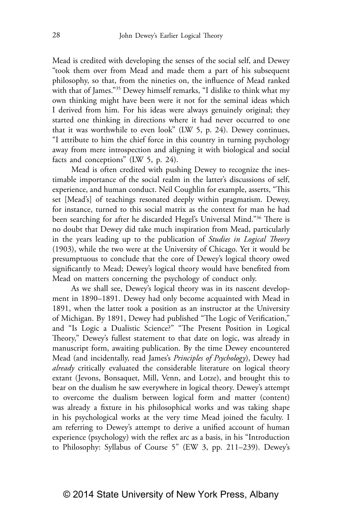Mead is credited with developing the senses of the social self, and Dewey "took them over from Mead and made them a part of his subsequent philosophy, so that, from the nineties on, the influence of Mead ranked with that of James."35 Dewey himself remarks, "I dislike to think what my own thinking might have been were it not for the seminal ideas which I derived from him. For his ideas were always genuinely original; they started one thinking in directions where it had never occurred to one that it was worthwhile to even look" (LW 5, p. 24). Dewey continues, "I attribute to him the chief force in this country in turning psychology away from mere introspection and aligning it with biological and social facts and conceptions" (LW 5, p. 24).

Mead is often credited with pushing Dewey to recognize the inestimable importance of the social realm in the latter's discussions of self, experience, and human conduct. Neil Coughlin for example, asserts, "This set [Mead's] of teachings resonated deeply within pragmatism. Dewey, for instance, turned to this social matrix as the context for man he had been searching for after he discarded Hegel's Universal Mind."36 There is no doubt that Dewey did take much inspiration from Mead, particularly in the years leading up to the publication of *Studies in Logical Theory* (1903), while the two were at the University of Chicago. Yet it would be presumptuous to conclude that the core of Dewey's logical theory owed significantly to Mead; Dewey's logical theory would have benefited from Mead on matters concerning the psychology of conduct only.

As we shall see, Dewey's logical theory was in its nascent development in 1890–1891. Dewey had only become acquainted with Mead in 1891, when the latter took a position as an instructor at the University of Michigan. By 1891, Dewey had published "The Logic of Verification," and "Is Logic a Dualistic Science?" "The Present Position in Logical Theory," Dewey's fullest statement to that date on logic, was already in manuscript form, awaiting publication. By the time Dewey encountered Mead (and incidentally, read James's *Principles of Psychology*), Dewey had *already* critically evaluated the considerable literature on logical theory extant (Jevons, Bonsaquet, Mill, Venn, and Lotze), and brought this to bear on the dualism he saw everywhere in logical theory. Dewey's attempt to overcome the dualism between logical form and matter (content) was already a fixture in his philosophical works and was taking shape in his psychological works at the very time Mead joined the faculty. I am referring to Dewey's attempt to derive a unified account of human experience (psychology) with the reflex arc as a basis, in his "Introduction to Philosophy: Syllabus of Course 5" (EW 3, pp. 211–239). Dewey's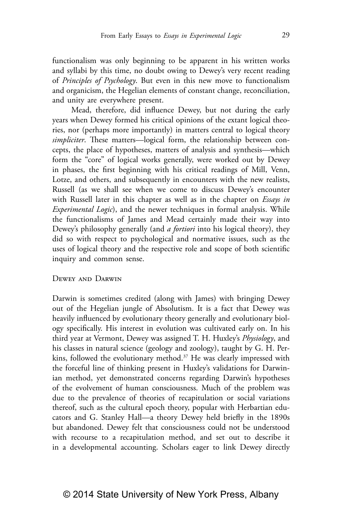functionalism was only beginning to be apparent in his written works and syllabi by this time, no doubt owing to Dewey's very recent reading of *Principles of Psychology*. But even in this new move to functionalism and organicism, the Hegelian elements of constant change, reconciliation, and unity are everywhere present.

Mead, therefore, did influence Dewey, but not during the early years when Dewey formed his critical opinions of the extant logical theories, nor (perhaps more importantly) in matters central to logical theory *simpliciter*. These matters—logical form, the relationship between concepts, the place of hypotheses, matters of analysis and synthesis—which form the "core" of logical works generally, were worked out by Dewey in phases, the first beginning with his critical readings of Mill, Venn, Lotze, and others, and subsequently in encounters with the new realists, Russell (as we shall see when we come to discuss Dewey's encounter with Russell later in this chapter as well as in the chapter on *Essays in Experimental Logic*), and the newer techniques in formal analysis. While the functionalisms of James and Mead certainly made their way into Dewey's philosophy generally (and *a fortiori* into his logical theory), they did so with respect to psychological and normative issues, such as the uses of logical theory and the respective role and scope of both scientific inquiry and common sense.

#### Dewey and Darwin

Darwin is sometimes credited (along with James) with bringing Dewey out of the Hegelian jungle of Absolutism. It is a fact that Dewey was heavily influenced by evolutionary theory generally and evolutionary biology specifically. His interest in evolution was cultivated early on. In his third year at Vermont, Dewey was assigned T. H. Huxley's *Physiology*, and his classes in natural science (geology and zoology), taught by G. H. Perkins, followed the evolutionary method.<sup>37</sup> He was clearly impressed with the forceful line of thinking present in Huxley's validations for Darwinian method, yet demonstrated concerns regarding Darwin's hypotheses of the evolvement of human consciousness. Much of the problem was due to the prevalence of theories of recapitulation or social variations thereof, such as the cultural epoch theory, popular with Herbartian educators and G. Stanley Hall—a theory Dewey held briefly in the 1890s but abandoned. Dewey felt that consciousness could not be understood with recourse to a recapitulation method, and set out to describe it in a developmental accounting. Scholars eager to link Dewey directly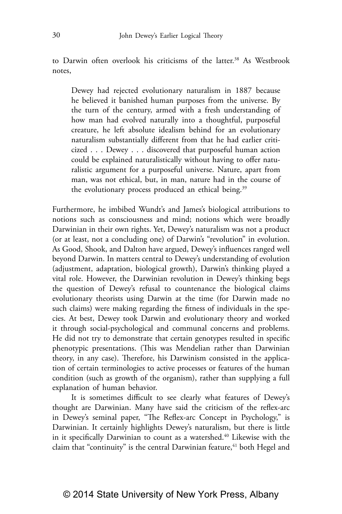to Darwin often overlook his criticisms of the latter.<sup>38</sup> As Westbrook notes,

Dewey had rejected evolutionary naturalism in 1887 because he believed it banished human purposes from the universe. By the turn of the century, armed with a fresh understanding of how man had evolved naturally into a thoughtful, purposeful creature, he left absolute idealism behind for an evolutionary naturalism substantially different from that he had earlier criticized . . . Dewey . . . discovered that purposeful human action could be explained naturalistically without having to offer naturalistic argument for a purposeful universe. Nature, apart from man, was not ethical, but, in man, nature had in the course of the evolutionary process produced an ethical being.<sup>39</sup>

Furthermore, he imbibed Wundt's and James's biological attributions to notions such as consciousness and mind; notions which were broadly Darwinian in their own rights. Yet, Dewey's naturalism was not a product (or at least, not a concluding one) of Darwin's "revolution" in evolution. As Good, Shook, and Dalton have argued, Dewey's influences ranged well beyond Darwin. In matters central to Dewey's understanding of evolution (adjustment, adaptation, biological growth), Darwin's thinking played a vital role. However, the Darwinian revolution in Dewey's thinking begs the question of Dewey's refusal to countenance the biological claims evolutionary theorists using Darwin at the time (for Darwin made no such claims) were making regarding the fitness of individuals in the species. At best, Dewey took Darwin and evolutionary theory and worked it through social-psychological and communal concerns and problems. He did not try to demonstrate that certain genotypes resulted in specific phenotypic presentations. (This was Mendelian rather than Darwinian theory, in any case). Therefore, his Darwinism consisted in the application of certain terminologies to active processes or features of the human condition (such as growth of the organism), rather than supplying a full explanation of human behavior.

It is sometimes difficult to see clearly what features of Dewey's thought are Darwinian. Many have said the criticism of the reflex-arc in Dewey's seminal paper, "The Reflex-arc Concept in Psychology," is Darwinian. It certainly highlights Dewey's naturalism, but there is little in it specifically Darwinian to count as a watershed.<sup>40</sup> Likewise with the claim that "continuity" is the central Darwinian feature,<sup>41</sup> both Hegel and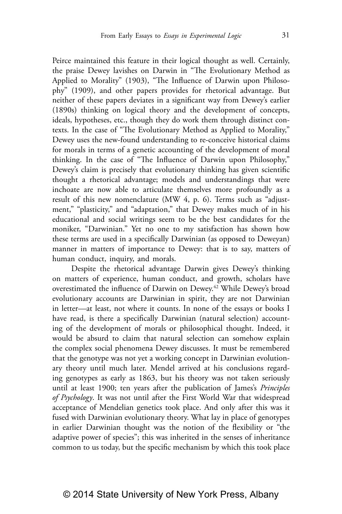Peirce maintained this feature in their logical thought as well. Certainly, the praise Dewey lavishes on Darwin in "The Evolutionary Method as Applied to Morality" (1903), "The Influence of Darwin upon Philosophy" (1909), and other papers provides for rhetorical advantage. But neither of these papers deviates in a significant way from Dewey's earlier (1890s) thinking on logical theory and the development of concepts, ideals, hypotheses, etc., though they do work them through distinct contexts. In the case of "The Evolutionary Method as Applied to Morality," Dewey uses the new-found understanding to re-conceive historical claims for morals in terms of a genetic accounting of the development of moral thinking. In the case of "The Influence of Darwin upon Philosophy," Dewey's claim is precisely that evolutionary thinking has given scientific thought a rhetorical advantage; models and understandings that were inchoate are now able to articulate themselves more profoundly as a result of this new nomenclature (MW 4, p. 6). Terms such as "adjustment," "plasticity," and "adaptation," that Dewey makes much of in his educational and social writings seem to be the best candidates for the moniker, "Darwinian." Yet no one to my satisfaction has shown how these terms are used in a specifically Darwinian (as opposed to Deweyan) manner in matters of importance to Dewey: that is to say, matters of human conduct, inquiry, and morals.

Despite the rhetorical advantage Darwin gives Dewey's thinking on matters of experience, human conduct, and growth, scholars have overestimated the influence of Darwin on Dewey.42 While Dewey's broad evolutionary accounts are Darwinian in spirit, they are not Darwinian in letter—at least, not where it counts. In none of the essays or books I have read, is there a specifically Darwinian (natural selection) accounting of the development of morals or philosophical thought. Indeed, it would be absurd to claim that natural selection can somehow explain the complex social phenomena Dewey discusses. It must be remembered that the genotype was not yet a working concept in Darwinian evolutionary theory until much later. Mendel arrived at his conclusions regarding genotypes as early as 1863, but his theory was not taken seriously until at least 1900; ten years after the publication of James's *Principles of Psychology*. It was not until after the First World War that widespread acceptance of Mendelian genetics took place. And only after this was it fused with Darwinian evolutionary theory. What lay in place of genotypes in earlier Darwinian thought was the notion of the flexibility or "the adaptive power of species"; this was inherited in the senses of inheritance common to us today, but the specific mechanism by which this took place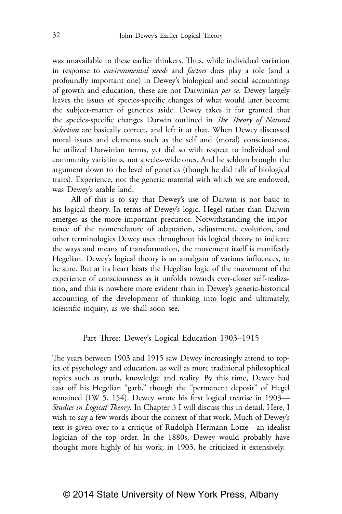was unavailable to these earlier thinkers. Thus, while individual variation in response to *environmental needs* and *factors* does play a role (and a profoundly important one) in Dewey's biological and social accountings of growth and education, these are not Darwinian *per se*. Dewey largely leaves the issues of species-specific changes of what would later become the subject-matter of genetics aside. Dewey takes it for granted that the species-specific changes Darwin outlined in *The Theory of Natural Selection* are basically correct, and left it at that. When Dewey discussed moral issues and elements such as the self and (moral) consciousness, he utilized Darwinian terms, yet did so with respect to individual and community variations, not species-wide ones. And he seldom brought the argument down to the level of genetics (though he did talk of biological traits). Experience, not the genetic material with which we are endowed, was Dewey's arable land.

All of this is to say that Dewey's use of Darwin is not basic to his logical theory. In terms of Dewey's logic, Hegel rather than Darwin emerges as the more important precursor. Notwithstanding the importance of the nomenclature of adaptation, adjustment, evolution, and other terminologies Dewey uses throughout his logical theory to indicate the ways and means of transformation, the movement itself is manifestly Hegelian. Dewey's logical theory is an amalgam of various influences, to be sure. But at its heart beats the Hegelian logic of the movement of the experience of consciousness as it unfolds towards ever-closer self-realization, and this is nowhere more evident than in Dewey's genetic-historical accounting of the development of thinking into logic and ultimately, scientific inquiry, as we shall soon see.

#### Part Three: Dewey's Logical Education 1903–1915

The years between 1903 and 1915 saw Dewey increasingly attend to topics of psychology and education, as well as more traditional philosophical topics such as truth, knowledge and reality. By this time, Dewey had cast off his Hegelian "garb," though the "permanent deposit" of Hegel remained (LW 5, 154). Dewey wrote his first logical treatise in 1903— *Studies in Logical Theory*. In Chapter 3 I will discuss this in detail. Here, I wish to say a few words about the context of that work. Much of Dewey's text is given over to a critique of Rudolph Hermann Lotze—an idealist logician of the top order. In the 1880s, Dewey would probably have thought more highly of his work; in 1903, he criticized it extensively.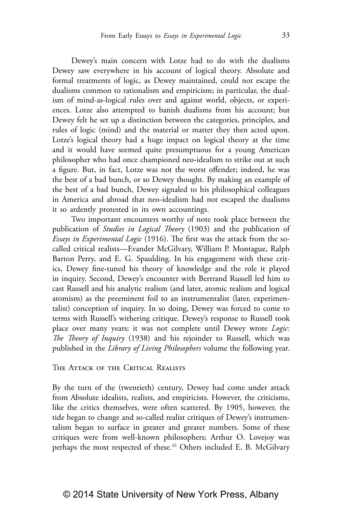Dewey's main concern with Lotze had to do with the dualisms Dewey saw everywhere in his account of logical theory. Absolute and formal treatments of logic, as Dewey maintained, could not escape the dualisms common to rationalism and empiricism; in particular, the dualism of mind-as-logical rules over and against world, objects, or experiences. Lotze also attempted to banish dualisms from his account; but Dewey felt he set up a distinction between the categories, principles, and rules of logic (mind) and the material or matter they then acted upon. Lotze's logical theory had a huge impact on logical theory at the time and it would have seemed quite presumptuous for a young American philosopher who had once championed neo-idealism to strike out at such a figure. But, in fact, Lotze was not the worst offender; indeed, he was the best of a bad bunch, or so Dewey thought. By making an example of the best of a bad bunch, Dewey signaled to his philosophical colleagues in America and abroad that neo-idealism had not escaped the dualisms it so ardently protested in its own accountings.

Two important encounters worthy of note took place between the publication of *Studies in Logical Theory* (1903) and the publication of *Essays in Experimental Logic* (1916). The first was the attack from the socalled critical realists—Evander McGilvary, William P. Montague, Ralph Barton Perry, and E. G. Spaulding. In his engagement with these critics, Dewey fine-tuned his theory of knowledge and the role it played in inquiry. Second, Dewey's encounter with Bertrand Russell led him to cast Russell and his analytic realism (and later, atomic realism and logical atomism) as the preeminent foil to an instrumentalist (later, experimentalist) conception of inquiry. In so doing, Dewey was forced to come to terms with Russell's withering critique. Dewey's response to Russell took place over many years; it was not complete until Dewey wrote *Logic: The Theory of Inquiry* (1938) and his rejoinder to Russell, which was published in the *Library of Living Philosophers* volume the following year.

#### The Attack of the Critical Realists

By the turn of the (twentieth) century, Dewey had come under attack from Absolute idealists, realists, and empiricists. However, the criticisms, like the critics themselves, were often scattered. By 1905, however, the tide began to change and so-called realist critiques of Dewey's instrumentalism began to surface in greater and greater numbers. Some of these critiques were from well-known philosophers; Arthur O. Lovejoy was perhaps the most respected of these.<sup>43</sup> Others included E. B. McGilvary